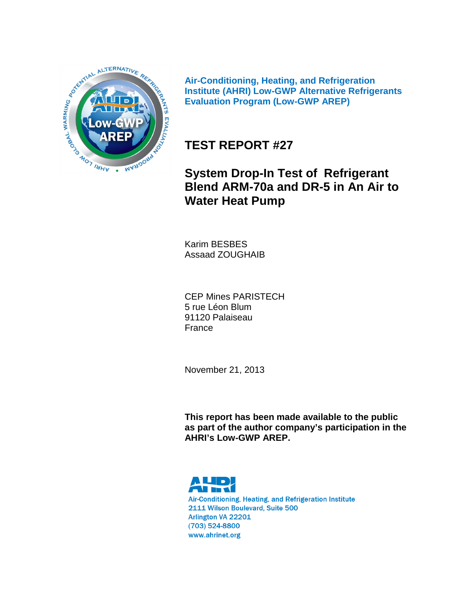

**Air-Conditioning, Heating, and Refrigeration Institute (AHRI) Low-GWP Alternative Refrigerants Evaluation Program (Low-GWP AREP)**

# **TEST REPORT #27**

# **System Drop-In Test of Refrigerant Blend ARM-70a and DR-5 in An Air to Water Heat Pump**

Karim BESBES Assaad ZOUGHAIB

CEP Mines PARISTECH 5 rue Léon Blum 91120 Palaiseau France

November 21, 2013

**This report has been made available to the public as part of the author company's participation in the AHRI's Low-GWP AREP.**



Air-Conditioning, Heating, and Refrigeration Institute 2111 Wilson Boulevard, Suite 500 Arlington VA 22201 (703) 524-8800 www.ahrinet.org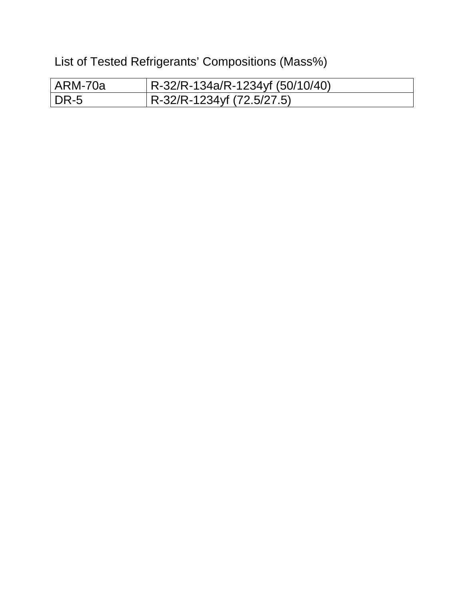List of Tested Refrigerants' Compositions (Mass%)

| l ARM-70a | $R-32/R-134a/R-1234yf(50/10/40)$ |
|-----------|----------------------------------|
| DR-5      | R-32/R-1234yf (72.5/27.5)        |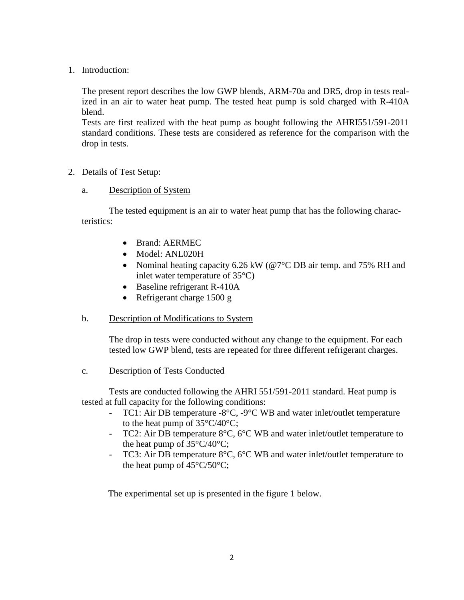1. Introduction:

The present report describes the low GWP blends, ARM-70a and DR5, drop in tests realized in an air to water heat pump. The tested heat pump is sold charged with R-410A blend.

Tests are first realized with the heat pump as bought following the AHRI551/591-2011 standard conditions. These tests are considered as reference for the comparison with the drop in tests.

- 2. Details of Test Setup:
	- a. Description of System

The tested equipment is an air to water heat pump that has the following characteristics:

- Brand: AERMEC
- Model: ANL020H
- Nominal heating capacity 6.26 kW (@7°C DB air temp. and 75% RH and inlet water temperature of 35°C)
- Baseline refrigerant R-410A
- Refrigerant charge 1500 g
- b. Description of Modifications to System

The drop in tests were conducted without any change to the equipment. For each tested low GWP blend, tests are repeated for three different refrigerant charges.

c. Description of Tests Conducted

Tests are conducted following the AHRI 551/591-2011 standard. Heat pump is tested at full capacity for the following conditions:

- TC1: Air DB temperature -8°C, -9°C WB and water inlet/outlet temperature to the heat pump of  $35^{\circ}C/40^{\circ}C$ ;
- TC2: Air DB temperature  $8^{\circ}$ C,  $6^{\circ}$ C WB and water inlet/outlet temperature to the heat pump of  $35^{\circ}C/40^{\circ}C$ ;
- TC3: Air DB temperature 8°C, 6°C WB and water inlet/outlet temperature to the heat pump of  $45^{\circ}C/50^{\circ}C$ ;

The experimental set up is presented in the figure 1 below.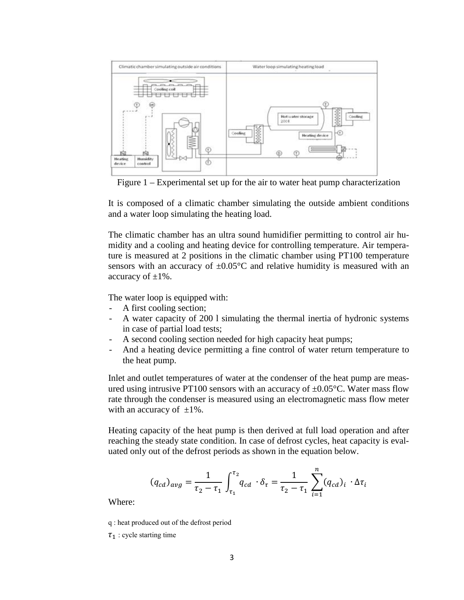

Figure 1 – Experimental set up for the air to water heat pump characterization

It is composed of a climatic chamber simulating the outside ambient conditions and a water loop simulating the heating load.

The climatic chamber has an ultra sound humidifier permitting to control air humidity and a cooling and heating device for controlling temperature. Air temperature is measured at 2 positions in the climatic chamber using PT100 temperature sensors with an accuracy of  $\pm 0.05^{\circ}$ C and relative humidity is measured with an accuracy of  $\pm 1\%$ .

The water loop is equipped with:

- A first cooling section;
- A water capacity of 200 l simulating the thermal inertia of hydronic systems in case of partial load tests;
- A second cooling section needed for high capacity heat pumps;
- And a heating device permitting a fine control of water return temperature to the heat pump.

Inlet and outlet temperatures of water at the condenser of the heat pump are measured using intrusive PT100 sensors with an accuracy of  $\pm 0.05^{\circ}$ C. Water mass flow rate through the condenser is measured using an electromagnetic mass flow meter with an accuracy of  $\pm 1\%$ .

Heating capacity of the heat pump is then derived at full load operation and after reaching the steady state condition. In case of defrost cycles, heat capacity is evaluated only out of the defrost periods as shown in the equation below.

$$
(q_{cd})_{avg} = \frac{1}{\tau_2 - \tau_1} \int_{\tau_1}^{\tau_2} q_{cd} \cdot \delta_{\tau} = \frac{1}{\tau_2 - \tau_1} \sum_{i=1}^{n} (q_{cd})_i \cdot \Delta \tau_i
$$

Where:

q : heat produced out of the defrost period

 $\tau_1$ : cycle starting time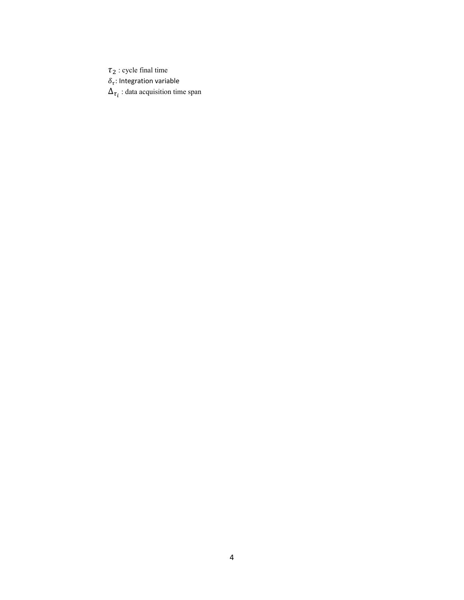$\tau_2$  : cycle final time  $\delta_{\tau}$ : Integration variable

 $\Delta_{\tau_i}$  : data acquisition time span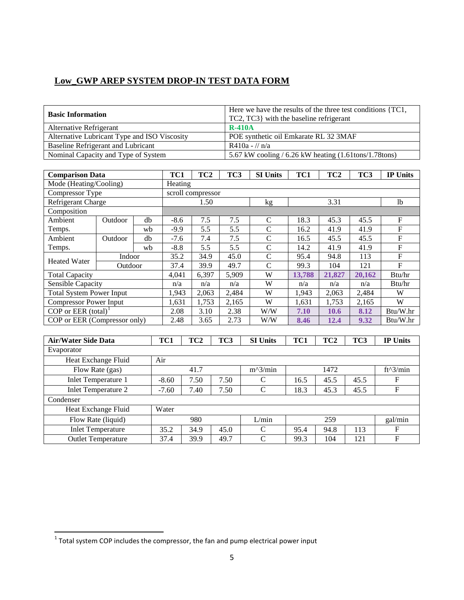| <b>Basic Information</b>                     | Here we have the results of the three test conditions {TC1,<br>TC2, TC3} with the baseline refrigerant |  |  |  |  |  |  |
|----------------------------------------------|--------------------------------------------------------------------------------------------------------|--|--|--|--|--|--|
| Alternative Refrigerant                      | <b>R-410A</b>                                                                                          |  |  |  |  |  |  |
| Alternative Lubricant Type and ISO Viscosity | POE synthetic oil Emkarate RL 32 3MAF                                                                  |  |  |  |  |  |  |
| Baseline Refrigerant and Lubricant           | $R410a - 1/n/a$                                                                                        |  |  |  |  |  |  |
| Nominal Capacity and Type of System          | 5.67 kW cooling $/$ 6.26 kW heating $(1.61$ tons $/1.78$ tons)                                         |  |  |  |  |  |  |

| <b>Comparison Data</b>          |                               | TC <sub>2</sub><br>TC3<br><b>SI Units</b><br>TC1<br>TC3<br>TC1<br>TC <sub>2</sub> |        |       |       |               |        | <b>IP Units</b> |        |                |
|---------------------------------|-------------------------------|-----------------------------------------------------------------------------------|--------|-------|-------|---------------|--------|-----------------|--------|----------------|
| Mode (Heating/Cooling)          |                               | Heating                                                                           |        |       |       |               |        |                 |        |                |
| Compressor Type                 | scroll compressor             |                                                                                   |        |       |       |               |        |                 |        |                |
| Refrigerant Charge              |                               |                                                                                   | 1.50   |       |       | kg            |        | 3.31            |        | 1 <sub>b</sub> |
| Composition                     |                               |                                                                                   |        |       |       |               |        |                 |        |                |
| Ambient                         | Outdoor                       | db                                                                                | $-8.6$ | 7.5   | 7.5   | $\mathcal{C}$ | 18.3   | 45.3            | 45.5   | F              |
| Temps.                          |                               | wb                                                                                | $-9.9$ | 5.5   | 5.5   | $\mathcal{C}$ | 16.2   | 41.9            | 41.9   | $\mathbf{F}$   |
| Ambient                         | Outdoor                       | db                                                                                | $-7.6$ | 7.4   | 7.5   | $\mathcal{C}$ | 16.5   | 45.5            | 45.5   | $\mathbf{F}$   |
| Temps.                          |                               | wh                                                                                | $-8.8$ | 5.5   | 5.5   | $\mathcal{C}$ | 14.2   | 41.9            | 41.9   | $\mathbf{F}$   |
| <b>Heated Water</b>             | Indoor                        |                                                                                   | 35.2   | 34.9  | 45.0  | $\mathsf{C}$  | 95.4   | 94.8            | 113    | $\mathbf{F}$   |
|                                 | Outdoor                       |                                                                                   | 37.4   | 39.9  | 49.7  | $\mathcal{C}$ | 99.3   | 104             | 121    | $\mathbf{F}$   |
| <b>Total Capacity</b>           |                               |                                                                                   | 4,041  | 6,397 | 5,909 | W             | 13,788 | 21,827          | 20,162 | Btu/hr         |
| Sensible Capacity               |                               |                                                                                   | n/a    | n/a   | n/a   | W             | n/a    | n/a             | n/a    | Btu/hr         |
| <b>Total System Power Input</b> |                               |                                                                                   | 1,943  | 2,063 | 2,484 | W             | 1,943  | 2,063           | 2,484  | W              |
|                                 | <b>Compressor Power Input</b> |                                                                                   |        | 1,753 | 2,165 | W             | 1,631  | 1,753           | 2,165  | W              |
| COP or EER $(total)^1$          |                               |                                                                                   | 2.08   | 3.10  | 2.38  | W/W           | 7.10   | 10.6            | 8.12   | Btu/W.hr       |
| COP or EER (Compressor only)    |                               |                                                                                   | 2.48   | 3.65  | 2.73  | W/W           | 8.46   | 12.4            | 9.32   | Btu/W.hr       |

| <b>Air/Water Side Data</b> | TC1     | TC <sub>2</sub> | TC3  | <b>SI Units</b> | TC1  | TC <sub>2</sub> | TC3  | <b>IP Units</b> |  |
|----------------------------|---------|-----------------|------|-----------------|------|-----------------|------|-----------------|--|
| Evaporator                 |         |                 |      |                 |      |                 |      |                 |  |
| Heat Exchange Fluid        | Air     |                 |      |                 |      |                 |      |                 |  |
| Flow Rate (gas)            |         | 41.7            |      | $m^2/$ min      |      | 1472            |      | $ft^3/min$      |  |
| <b>Inlet Temperature 1</b> | $-8.60$ | 7.50            | 7.50 | C               | 16.5 | 45.5            | 45.5 | F               |  |
| Inlet Temperature 2        | $-7.60$ | 7.40            | 7.50 | C               | 18.3 | 45.3            | 45.5 | F               |  |
| Condenser                  |         |                 |      |                 |      |                 |      |                 |  |
| Heat Exchange Fluid        | Water   |                 |      |                 |      |                 |      |                 |  |
| Flow Rate (liquid)         |         | 980             |      | L/min           |      | 259             |      | gal/min         |  |
| <b>Inlet Temperature</b>   | 35.2    | 34.9            | 45.0 | C               | 95.4 | 94.8            | 113  | F               |  |
| <b>Outlet Temperature</b>  | 37.4    | 39.9            | 49.7 | C               | 99.3 | 104             | 121  | F               |  |

<span id="page-5-0"></span> $\frac{1}{1}$ Total system COP includes the compressor, the fan and pump electrical power input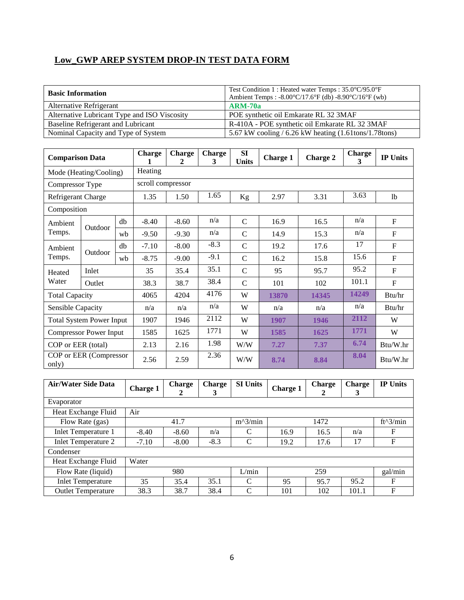| <b>Basic Information</b>                     | Test Condition 1 : Heated water Temps : 35.0°C/95.0°F<br>Ambient Temps: -8.00°C/17.6°F (db) -8.90°C/16°F (wb) |
|----------------------------------------------|---------------------------------------------------------------------------------------------------------------|
| Alternative Refrigerant                      | $ARM-70a$                                                                                                     |
| Alternative Lubricant Type and ISO Viscosity | POE synthetic oil Emkarate RL 32 3MAF                                                                         |
| Baseline Refrigerant and Lubricant           | R-410A - POE synthetic oil Emkarate RL 32 3MAF                                                                |
| Nominal Capacity and Type of System          | 5.67 kW cooling / 6.26 kW heating $(1.61 \text{tons}/1.78 \text{tons})$                                       |

| <b>Comparison Data</b> |                                      |    | <b>Charge</b><br>1 | <b>Charge</b><br>2 | <b>Charge</b><br>3 | <b>SI</b><br><b>Units</b> | <b>Charge 1</b> | <b>Charge 2</b> | <b>Charge</b><br>3 | <b>IP Units</b> |
|------------------------|--------------------------------------|----|--------------------|--------------------|--------------------|---------------------------|-----------------|-----------------|--------------------|-----------------|
|                        | Heating<br>Mode (Heating/Cooling)    |    |                    |                    |                    |                           |                 |                 |                    |                 |
|                        | scroll compressor<br>Compressor Type |    |                    |                    |                    |                           |                 |                 |                    |                 |
| Refrigerant Charge     |                                      |    | 1.35               | 1.50               | 1.65               | Kg                        | 2.97            | 3.31            | 3.63               | 1 <sub>b</sub>  |
| Composition            |                                      |    |                    |                    |                    |                           |                 |                 |                    |                 |
| Ambient                | Outdoor                              | db | $-8.40$            | $-8.60$            | n/a                | $\mathbf C$               | 16.9            | 16.5            | n/a                | F               |
| Temps.                 |                                      | wh | $-9.50$            | $-9.30$            | n/a                | $\mathsf{C}$              | 14.9            | 15.3            | n/a                | F               |
| Ambient                |                                      | db | $-7.10$            | $-8.00$            | $-8.3$             | $\mathcal{C}$             | 19.2            | 17.6            | 17                 | F               |
| Temps.                 | Outdoor                              | wh | $-8.75$            | $-9.00$            | $-9.1$             | $\mathcal{C}$             | 16.2            | 15.8            | 15.6               | F               |
| Heated                 | Inlet                                |    | 35                 | 35.4               | 35.1               | $\mathcal{C}$             | 95              | 95.7            | 95.2               | F               |
| Water                  | Outlet                               |    | 38.3               | 38.7               | 38.4               | $\mathcal{C}$             | 101             | 102             | 101.1              | $\mathbf{F}$    |
| <b>Total Capacity</b>  |                                      |    | 4065               | 4204               | 4176               | W                         | 13870           | 14345           | 14249              | Btu/hr          |
| Sensible Capacity      |                                      |    | n/a                | n/a                | n/a                | W                         | n/a             | n/a             | n/a                | Btu/hr          |
|                        | <b>Total System Power Input</b>      |    | 1907               | 1946               | 2112               | W                         | 1907            | 1946            | 2112               | W               |
|                        | <b>Compressor Power Input</b>        |    | 1585               | 1625               | 1771               | W                         | 1585            | 1625            | 1771               | W               |
| COP or EER (total)     |                                      |    | 2.13               | 2.16               | 1.98               | W/W                       | 7.27            | 7.37            | 6.74               | Btu/W.hr        |
| only)                  | COP or EER (Compressor               |    | 2.56               | 2.59               | 2.36               | W/W                       | 8.74            | 8.84            | 8.04               | Btu/W.hr        |

| <b>Air/Water Side Data</b> | Charge 1                   | Charge<br>2 | <b>Charge</b><br>3 | <b>SI Units</b> | Charge 1 | <b>Charge</b><br>2 | Charge<br>3 | <b>IP Units</b> |  |
|----------------------------|----------------------------|-------------|--------------------|-----------------|----------|--------------------|-------------|-----------------|--|
| Evaporator                 |                            |             |                    |                 |          |                    |             |                 |  |
| Heat Exchange Fluid        | Air                        |             |                    |                 |          |                    |             |                 |  |
| Flow Rate (gas)            | $m^2/$ min<br>1472<br>41.7 |             |                    |                 |          | ft^3/min           |             |                 |  |
| <b>Inlet Temperature 1</b> | $-8.40$                    | $-8.60$     | n/a                | C               | 16.9     | 16.5               | n/a         | F               |  |
| <b>Inlet Temperature 2</b> | $-7.10$                    | $-8.00$     | $-8.3$             | $\mathcal{C}$   | 19.2     | 17.6               | 17          | $\mathbf F$     |  |
| Condenser                  |                            |             |                    |                 |          |                    |             |                 |  |
| Heat Exchange Fluid        | Water                      |             |                    |                 |          |                    |             |                 |  |
| Flow Rate (liquid)         |                            | 980         |                    | L/min           | 259      |                    |             |                 |  |
| <b>Inlet Temperature</b>   | 35                         | 35.4        | 35.1               | C               | 95       | 95.7               | 95.2        | $\mathbf{F}$    |  |
| <b>Outlet Temperature</b>  | 38.3                       | 38.7        | 38.4               | $\mathcal{C}$   | 101      | 102                | 101.1       | F               |  |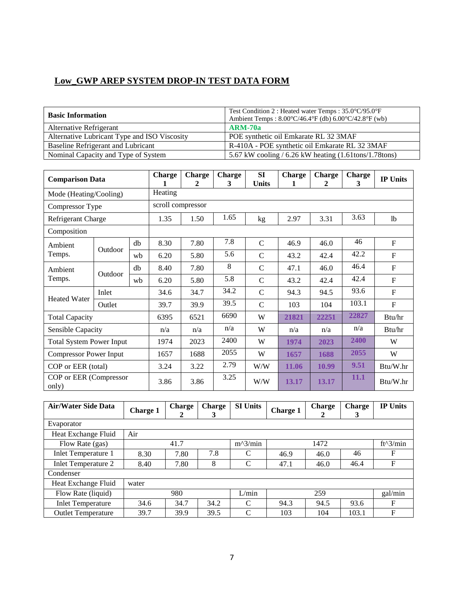| <b>Basic Information</b>                     | Test Condition 2 : Heated water Temps : 35.0°C/95.0°F<br>Ambient Temps: $8.00^{\circ}C/46.4^{\circ}F$ (db) $6.00^{\circ}C/42.8^{\circ}F$ (wb) |
|----------------------------------------------|-----------------------------------------------------------------------------------------------------------------------------------------------|
| Alternative Refrigerant                      | $ARM-70a$                                                                                                                                     |
| Alternative Lubricant Type and ISO Viscosity | POE synthetic oil Emkarate RL 32 3MAF                                                                                                         |
| <b>Baseline Refrigerant and Lubricant</b>    | R-410A - POE synthetic oil Emkarate RL 32 3MAF                                                                                                |
| Nominal Capacity and Type of System          | 5.67 kW cooling $/$ 6.26 kW heating $(1.61$ tons $/1.78$ tons)                                                                                |

| <b>Comparison Data</b>            |                               | Charge | <b>Charge</b><br>2 | <b>Charge</b><br>3 | SI<br><b>Units</b> | <b>Charge</b><br>1 | <b>Charge</b><br>2 | <b>Charge</b><br>3 | <b>IP Units</b> |                |
|-----------------------------------|-------------------------------|--------|--------------------|--------------------|--------------------|--------------------|--------------------|--------------------|-----------------|----------------|
| Heating<br>Mode (Heating/Cooling) |                               |        |                    |                    |                    |                    |                    |                    |                 |                |
| Compressor Type                   |                               |        | scroll compressor  |                    |                    |                    |                    |                    |                 |                |
| Refrigerant Charge                |                               |        | 1.35               | 1.50               | 1.65               | kg                 | 2.97               | 3.31               | 3.63            | 1 <sub>b</sub> |
| Composition                       |                               |        |                    |                    |                    |                    |                    |                    |                 |                |
| Ambient                           | Outdoor                       | db     | 8.30               | 7.80               | 7.8                | $\mathcal{C}$      | 46.9               | 46.0               | 46              | F              |
| Temps.                            |                               | wb     | 6.20               | 5.80               | 5.6                | $\mathcal{C}$      | 43.2               | 42.4               | 42.2            | F              |
| Ambient                           | Outdoor                       | db     | 8.40               | 7.80               | 8                  | $\mathbf C$        | 47.1               | 46.0               | 46.4            | F              |
| Temps.                            |                               | wb     | 6.20               | 5.80               | 5.8                | $\mathcal{C}$      | 43.2               | 42.4               | 42.4            | F              |
| <b>Heated Water</b>               | Inlet                         |        | 34.6               | 34.7               | 34.2               | $\mathcal{C}$      | 94.3               | 94.5               | 93.6            | F              |
|                                   | Outlet                        |        |                    | 39.9               | 39.5               | $\mathcal{C}$      | 103                | 104                | 103.1           | $\mathbf F$    |
| <b>Total Capacity</b>             |                               |        | 6395               | 6521               | 6690               | W                  | 21821              | 22251              | 22827           | Btu/hr         |
| Sensible Capacity                 |                               |        | n/a                | n/a                | n/a                | W                  | n/a                | n/a                | n/a             | Btu/hr         |
| <b>Total System Power Input</b>   |                               |        | 1974               | 2023               | 2400               | W                  | 1974               | 2023               | 2400            | W              |
|                                   | <b>Compressor Power Input</b> |        |                    | 1688               | 2055               | W                  | 1657               | 1688               | 2055            | W              |
|                                   | COP or EER (total)            |        |                    | 3.22               | 2.79               | W/W                | 11.06              | 10.99              | 9.51            | Btu/W.hr       |
| COP or EER (Compressor<br>only)   |                               |        | 3.86               | 3.86               | 3.25               | W/W                | 13.17              | 13.17              | 11.1            | Btu/W.hr       |

| <b>Air/Water Side Data</b> | <b>Charge 1</b> | <b>Charge</b><br>2 | <b>Charge</b><br>3 | <b>SI Units</b> | Charge 1 | Charge<br>2 | Charge<br>3 | <b>IP Units</b> |
|----------------------------|-----------------|--------------------|--------------------|-----------------|----------|-------------|-------------|-----------------|
| Evaporator                 |                 |                    |                    |                 |          |             |             |                 |
| Heat Exchange Fluid        | Air             |                    |                    |                 |          |             |             |                 |
| Flow Rate (gas)            |                 | 41.7               |                    | $m^2/$ min      |          | 1472        |             | $ft^3/min$      |
| <b>Inlet Temperature 1</b> | 8.30            | 7.80               | 7.8                | C               | 46.9     | 46.0        | 46          | F               |
| <b>Inlet Temperature 2</b> | 8.40            | 7.80               | 8                  | $\mathcal{C}$   | 47.1     | 46.0        | 46.4        | F               |
| Condenser                  |                 |                    |                    |                 |          |             |             |                 |
| Heat Exchange Fluid        | water           |                    |                    |                 |          |             |             |                 |
| Flow Rate (liquid)         |                 | 980                |                    | L/min           |          | 259         |             | gal/min         |
| <b>Inlet Temperature</b>   | 34.6            | 34.7               | 34.2               | C               | 94.3     | 94.5        | 93.6        | F               |
| <b>Outlet Temperature</b>  | 39.7            | 39.9               | 39.5               | C               | 103      | 104         | 103.1       | F               |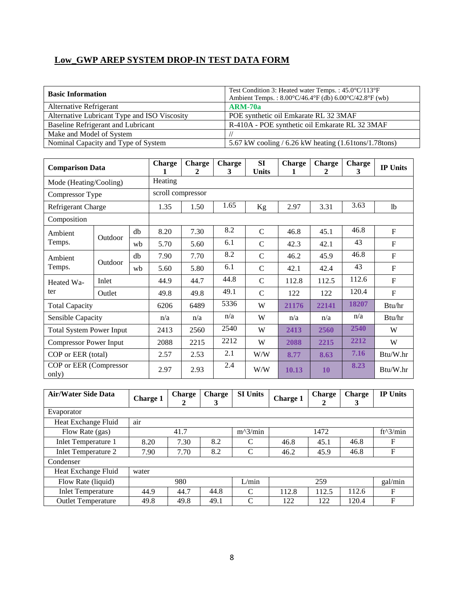| <b>Basic Information</b>                     | Test Condition 3: Heated water Temps.: 45.0°C/113°F<br>Ambient Temps.: $8.00^{\circ}$ C/46.4°F (db) $6.00^{\circ}$ C/42.8°F (wb) |  |  |  |  |  |
|----------------------------------------------|----------------------------------------------------------------------------------------------------------------------------------|--|--|--|--|--|
| Alternative Refrigerant                      | <b>ARM-70a</b>                                                                                                                   |  |  |  |  |  |
| Alternative Lubricant Type and ISO Viscosity | POE synthetic oil Emkarate RL 32 3MAF                                                                                            |  |  |  |  |  |
| Baseline Refrigerant and Lubricant           | R-410A - POE synthetic oil Emkarate RL 32 3MAF                                                                                   |  |  |  |  |  |
| Make and Model of System                     |                                                                                                                                  |  |  |  |  |  |
| Nominal Capacity and Type of System          | 5.67 kW cooling $/$ 6.26 kW heating $(1.61$ tons $/1.78$ tons)                                                                   |  |  |  |  |  |

| <b>Comparison Data</b>          |                                   |    | <b>Charge</b> | <b>Charge</b><br>2 | <b>Charge</b><br>3 | <b>SI</b><br><b>Units</b> | <b>Charge</b> | <b>Charge</b><br>2 | <b>Charge</b><br>3 | <b>IP Units</b> |  |  |
|---------------------------------|-----------------------------------|----|---------------|--------------------|--------------------|---------------------------|---------------|--------------------|--------------------|-----------------|--|--|
|                                 | Heating<br>Mode (Heating/Cooling) |    |               |                    |                    |                           |               |                    |                    |                 |  |  |
| Compressor Type                 |                                   |    |               | scroll compressor  |                    |                           |               |                    |                    |                 |  |  |
| Refrigerant Charge              |                                   |    | 1.35          | 1.50               | 1.65               | Kg                        | 2.97          | 3.31               | 3.63               | 1 <sub>b</sub>  |  |  |
| Composition                     |                                   |    |               |                    |                    |                           |               |                    |                    |                 |  |  |
| Ambient                         | Outdoor                           | db | 8.20          | 7.30               | 8.2                | $\mathbf C$               | 46.8          | 45.1               | 46.8               | F               |  |  |
| Temps.                          |                                   | wh | 5.70          | 5.60               | 6.1                | $\mathcal{C}$             | 42.3          | 42.1               | 43                 | $\mathbf F$     |  |  |
| Ambient                         | Outdoor                           | db | 7.90          | 7.70               | 8.2                | $\mathcal{C}$             | 46.2          | 45.9               | 46.8               | F               |  |  |
| Temps.                          |                                   | wb | 5.60          | 5.80               | 6.1                | $\mathbf C$               | 42.1          | 42.4               | 43                 | F               |  |  |
| Heated Wa-                      | Inlet                             |    | 44.9          | 44.7               | 44.8               | $\mathcal{C}$             | 112.8         | 112.5              | 112.6              | $\mathbf{F}$    |  |  |
| ter                             | Outlet                            |    |               | 49.8               | 49.1               | $\mathbf C$               | 122           | 122                | 120.4              | $\mathbf F$     |  |  |
| <b>Total Capacity</b>           |                                   |    | 6206          | 6489               | 5336               | W                         | 21176         | 22141              | 18207              | Btu/hr          |  |  |
| Sensible Capacity               |                                   |    | n/a           | n/a                | n/a                | W                         | n/a           | n/a                | n/a                | Btu/hr          |  |  |
| <b>Total System Power Input</b> |                                   |    | 2413          | 2560               | 2540               | W                         | 2413          | 2560               | 2540               | W               |  |  |
|                                 | <b>Compressor Power Input</b>     |    |               | 2215               | 2212               | W                         | 2088          | 2215               | 2212               | W               |  |  |
| COP or EER (total)              |                                   |    | 2.57          | 2.53               | 2.1                | W/W                       | 8.77          | 8.63               | 7.16               | Btu/W.hr        |  |  |
| COP or EER (Compressor<br>only) |                                   |    | 2.97          | 2.93               | 2.4                | W/W                       | 10.13         | <b>10</b>          | 8.23               | Btu/W.hr        |  |  |

| Air/Water Side Data       | <b>Charge 1</b> | Charge<br>2 | Charge<br>3 | <b>SI Units</b> | <b>Charge 1</b> | Charge<br>2 | <b>Charge</b><br>3 | <b>IP Units</b> |
|---------------------------|-----------------|-------------|-------------|-----------------|-----------------|-------------|--------------------|-----------------|
| Evaporator                |                 |             |             |                 |                 |             |                    |                 |
| Heat Exchange Fluid       | air             |             |             |                 |                 |             |                    |                 |
| Flow Rate (gas)           |                 | 41.7        |             | $m^2/$ min      |                 | 1472        |                    | $ft^3/min$      |
| Inlet Temperature 1       | 8.20            | 7.30        | 8.2         | C               | 46.8            | 45.1        | 46.8               | F               |
| Inlet Temperature 2       | 7.90            | 7.70        | 8.2         | C               | 46.2            | 45.9        | 46.8               | F               |
| Condenser                 |                 |             |             |                 |                 |             |                    |                 |
| Heat Exchange Fluid       | water           |             |             |                 |                 |             |                    |                 |
| Flow Rate (liquid)        |                 | 980         |             | L/min           |                 | 259         |                    | gal/min         |
| <b>Inlet Temperature</b>  | 44.9            | 44.7        | 44.8        | C               | 112.8           | 112.5       | 112.6              | $\mathbf F$     |
| <b>Outlet Temperature</b> | 49.8            | 49.8        | 49.1        | C               | 122             | 122         | 120.4              | F               |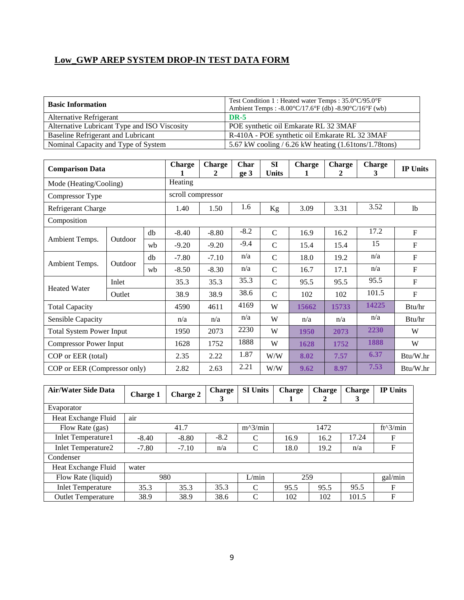| <b>Basic Information</b>                     | Test Condition 1 : Heated water Temps : 35.0°C/95.0°F<br>Ambient Temps : -8.00°C/17.6°F (db) -8.90°C/16°F (wb) |
|----------------------------------------------|----------------------------------------------------------------------------------------------------------------|
| Alternative Refrigerant                      | <b>DR-5</b>                                                                                                    |
| Alternative Lubricant Type and ISO Viscosity | POE synthetic oil Emkarate RL 32 3MAF                                                                          |
| Baseline Refrigerant and Lubricant           | R-410A - POE synthetic oil Emkarate RL 32 3MAF                                                                 |
| Nominal Capacity and Type of System          | 5.67 kW cooling / 6.26 kW heating (1.61tons/1.78tons)                                                          |

| <b>Comparison Data</b>          |                    |    | <b>Charge</b>     | <b>Charge</b><br>2 | Char<br>ge 3 | <b>SI</b><br><b>Units</b> | <b>Charge</b> | <b>Charge</b><br>2 | <b>Charge</b><br>3 | <b>IP Units</b> |
|---------------------------------|--------------------|----|-------------------|--------------------|--------------|---------------------------|---------------|--------------------|--------------------|-----------------|
| Mode (Heating/Cooling)          |                    |    | Heating           |                    |              |                           |               |                    |                    |                 |
| Compressor Type                 |                    |    | scroll compressor |                    |              |                           |               |                    |                    |                 |
| Refrigerant Charge              |                    |    | 1.40              | 1.50               | 1.6          | Kg                        | 3.09          | 3.31               | 3.52               | 1 <sub>b</sub>  |
| Composition                     |                    |    |                   |                    |              |                           |               |                    |                    |                 |
|                                 |                    | db | $-8.40$           | $-8.80$            | $-8.2$       | $\mathcal{C}$             | 16.9          | 16.2               | 17.2               | $\mathbf{F}$    |
| Ambient Temps.                  | Outdoor            | wh | $-9.20$           | $-9.20$            | $-9.4$       | $\mathcal{C}$             | 15.4          | 15.4               | 15                 | $\mathbf F$     |
|                                 | Outdoor            | db | $-7.80$           | $-7.10$            | n/a          | $\mathcal{C}$             | 18.0          | 19.2               | n/a                | $\mathbf{F}$    |
| Ambient Temps.                  |                    | wh | $-8.50$           | $-8.30$            | n/a          | $\mathcal{C}$             | 16.7          | 17.1               | n/a                | $\mathbf{F}$    |
| <b>Heated Water</b>             | Inlet              |    |                   | 35.3               | 35.3         | $\mathcal{C}$             | 95.5          | 95.5               | 95.5               | $\mathbf{F}$    |
|                                 | Outlet             |    | 38.9              | 38.9               | 38.6         | $\mathcal{C}$             | 102           | 102                | 101.5              | $\mathbf F$     |
| <b>Total Capacity</b>           |                    |    | 4590              | 4611               | 4169         | W                         | 15662         | 15733              | 14225              | Btu/hr          |
| Sensible Capacity               |                    |    | n/a               | n/a                | n/a          | W                         | n/a           | n/a                | n/a                | Btu/hr          |
| <b>Total System Power Input</b> |                    |    | 1950              | 2073               | 2230         | W                         | 1950          | 2073               | 2230               | W               |
| <b>Compressor Power Input</b>   |                    |    | 1628              | 1752               | 1888         | W                         | 1628          | 1752               | 1888               | W               |
|                                 | COP or EER (total) |    |                   | 2.22               | 1.87         | W/W                       | 8.02          | 7.57               | 6.37               | Btu/W.hr        |
| COP or EER (Compressor only)    |                    |    | 2.82              | 2.63               | 2.21         | W/W                       | 9.62          | 8.97               | 7.53               | Btu/W.hr        |

| Air/Water Side Data       | <b>Charge 1</b> | <b>Charge 2</b> | <b>Charge</b><br>3 | <b>SI Units</b> | <b>Charge</b> | <b>Charge</b> | <b>Charge</b><br>3 | <b>IP Units</b>    |
|---------------------------|-----------------|-----------------|--------------------|-----------------|---------------|---------------|--------------------|--------------------|
| Evaporator                |                 |                 |                    |                 |               |               |                    |                    |
| Heat Exchange Fluid       | air             |                 |                    |                 |               |               |                    |                    |
| Flow Rate (gas)           |                 | 41.7            |                    | $m^2/$ min      |               | 1472          |                    | $ft^{\wedge}3/min$ |
| <b>Inlet Temperature1</b> | $-8.40$         | $-8.80$         | $-8.2$             | C               | 16.9          | 16.2          | 17.24              | F                  |
| <b>Inlet Temperature2</b> | $-7.80$         | $-7.10$         | n/a                | C               | 18.0          | 19.2          | n/a                | F                  |
| Condenser                 |                 |                 |                    |                 |               |               |                    |                    |
| Heat Exchange Fluid       | water           |                 |                    |                 |               |               |                    |                    |
| Flow Rate (liquid)        | 980             |                 |                    | L/min           | 259           |               |                    | gal/min            |
| <b>Inlet Temperature</b>  | 35.3            | 35.3            | 35.3               | C               | 95.5          | 95.5          | 95.5               | F                  |
| <b>Outlet Temperature</b> | 38.9            | 38.9            | 38.6               | $\Gamma$        | 102           | 102           | 101.5              | F                  |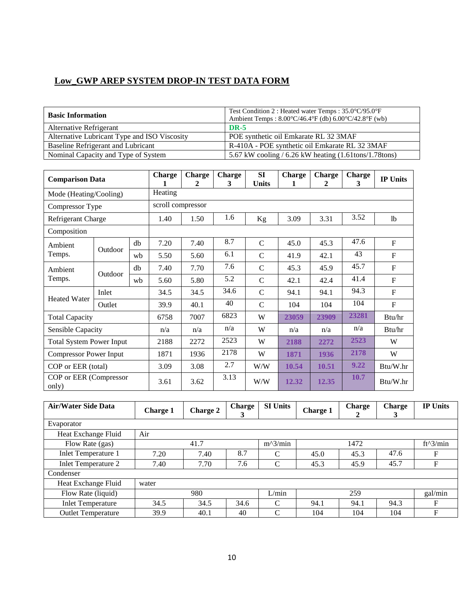| <b>Basic Information</b>                     | Test Condition 2 : Heated water Temps : 35.0°C/95.0°F<br>Ambient Temps: $8.00^{\circ}C/46.4^{\circ}F$ (db) $6.00^{\circ}C/42.8^{\circ}F$ (wb) |
|----------------------------------------------|-----------------------------------------------------------------------------------------------------------------------------------------------|
| Alternative Refrigerant                      | <b>DR-5</b>                                                                                                                                   |
| Alternative Lubricant Type and ISO Viscosity | POE synthetic oil Emkarate RL 32 3MAF                                                                                                         |
| Baseline Refrigerant and Lubricant           | R-410A - POE synthetic oil Emkarate RL 32 3MAF                                                                                                |
| Nominal Capacity and Type of System          | 5.67 kW cooling / $6.26$ kW heating $(1.61$ tons/ $1.78$ tons)                                                                                |

| <b>Comparison Data</b>          | <b>Charge</b> | <b>Charge</b><br>2 | <b>Charge</b><br>3 | SI<br><b>Units</b> | <b>Charge</b><br>1 | <b>Charge</b><br>2 | <b>Charge</b><br>3 | <b>IP Units</b> |       |                |  |  |  |
|---------------------------------|---------------|--------------------|--------------------|--------------------|--------------------|--------------------|--------------------|-----------------|-------|----------------|--|--|--|
| Mode (Heating/Cooling)          |               |                    | Heating            |                    |                    |                    |                    |                 |       |                |  |  |  |
| Compressor Type                 |               |                    | scroll compressor  |                    |                    |                    |                    |                 |       |                |  |  |  |
| Refrigerant Charge              |               |                    | 1.40               | 1.50               | 1.6                | Kg                 | 3.09               | 3.31            | 3.52  | 1 <sub>b</sub> |  |  |  |
| Composition                     |               |                    |                    |                    |                    |                    |                    |                 |       |                |  |  |  |
| Ambient                         |               | db                 | 7.20               | 7.40               | 8.7                | $\mathcal{C}$      | 45.0               | 45.3            | 47.6  | $\mathbf F$    |  |  |  |
| Temps.                          | Outdoor       | wb                 | 5.50               | 5.60               | 6.1                | $\mathcal{C}$      | 41.9               | 42.1            | 43    | $F_{\rm}$      |  |  |  |
| Ambient                         |               | db                 | 7.40               | 7.70               | 7.6                | $\mathsf{C}$       | 45.3               | 45.9            | 45.7  | $\mathbf F$    |  |  |  |
| Temps.                          | Outdoor       | wb                 | 5.60               | 5.80               | 5.2                | $\mathcal{C}$      | 42.1               | 42.4            | 41.4  | $\mathbf F$    |  |  |  |
| <b>Heated Water</b>             | Inlet         |                    | 34.5               | 34.5               | 34.6               | $\mathcal{C}$      | 94.1               | 94.1            | 94.3  | $\mathbf F$    |  |  |  |
|                                 | Outlet        |                    | 39.9               | 40.1               | 40                 | $\mathcal{C}$      | 104                | 104             | 104   | $\mathbf F$    |  |  |  |
| <b>Total Capacity</b>           |               |                    | 6758               | 7007               | 6823               | W                  | 23059              | 23909           | 23281 | Btu/hr         |  |  |  |
| Sensible Capacity               |               |                    | n/a                | n/a                | n/a                | W                  | n/a                | n/a             | n/a   | Btu/hr         |  |  |  |
| <b>Total System Power Input</b> |               |                    | 2188               | 2272               | 2523               | W                  | 2188               | 2272            | 2523  | W              |  |  |  |
| <b>Compressor Power Input</b>   |               | 1871               | 1936               | 2178               | W                  | 1871               | 1936               | 2178            | W     |                |  |  |  |
| COP or EER (total)              |               |                    | 3.09               | 3.08               | 2.7                | W/W                | 10.54              | 10.51           | 9.22  | Btu/W.hr       |  |  |  |
| COP or EER (Compressor<br>only) |               |                    | 3.61               | 3.62               | 3.13               | W/W                | 12.32              | 12.35           | 10.7  | Btu/W.hr       |  |  |  |

| Air/Water Side Data        | <b>Charge 1</b> | <b>Charge 2</b> | <b>Charge</b><br>3 | <b>SI Units</b> | <b>Charge 1</b> | Charge<br>2 | Charge<br>3 | <b>IP Units</b> |
|----------------------------|-----------------|-----------------|--------------------|-----------------|-----------------|-------------|-------------|-----------------|
| Evaporator                 |                 |                 |                    |                 |                 |             |             |                 |
| Heat Exchange Fluid        | Air             |                 |                    |                 |                 |             |             |                 |
| Flow Rate (gas)            |                 | 41.7            |                    | $m^2/$ min      |                 | 1472        |             | $ft^3/min$      |
| <b>Inlet Temperature 1</b> | 7.20            | 7.40            | 8.7                | C               | 45.0            | 45.3        | 47.6        | F               |
| <b>Inlet Temperature 2</b> | 7.40            | 7.70            | 7.6                | $\mathcal{C}$   | 45.3            | 45.9        | 45.7        | F               |
| Condenser                  |                 |                 |                    |                 |                 |             |             |                 |
| Heat Exchange Fluid        | water           |                 |                    |                 |                 |             |             |                 |
| Flow Rate (liquid)         |                 | 980             |                    | L/min           |                 | 259         |             | gal/min         |
| <b>Inlet Temperature</b>   | 34.5            | 34.5            | 34.6               | C               | 94.1            | 94.1        | 94.3        | F               |
| <b>Outlet Temperature</b>  | 39.9            | 40.1            | 40                 | C               | 104             | 104         | 104         | F               |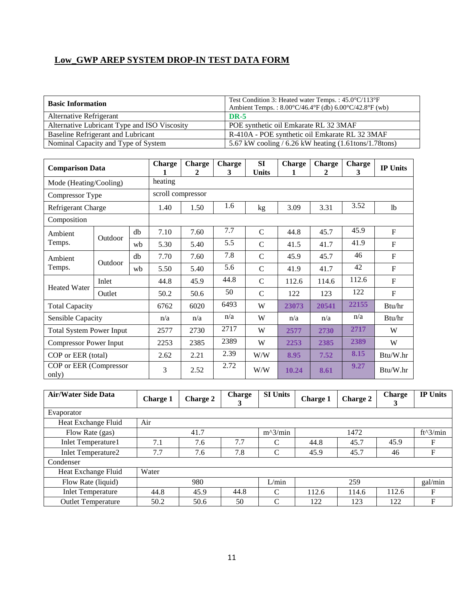| <b>Basic Information</b>                     | Test Condition 3: Heated water Temps.: 45.0°C/113°F<br>Ambient Temps.: $8.00^{\circ}$ C/46.4°F (db) $6.00^{\circ}$ C/42.8°F (wb) |
|----------------------------------------------|----------------------------------------------------------------------------------------------------------------------------------|
| Alternative Refrigerant                      | <b>DR-5</b>                                                                                                                      |
| Alternative Lubricant Type and ISO Viscosity | POE synthetic oil Emkarate RL 32 3MAF                                                                                            |
| Baseline Refrigerant and Lubricant           | R-410A - POE synthetic oil Emkarate RL 32 3MAF                                                                                   |
| Nominal Capacity and Type of System          | 5.67 kW cooling $/$ 6.26 kW heating $(1.61$ tons $/1.78$ tons $)$                                                                |

| <b>Comparison Data</b>          |         |      | <b>Charge</b> | <b>Charge</b><br>2 | <b>Charge</b><br>3 | <b>SI</b><br><b>Units</b> | <b>Charge</b><br>1 | <b>Charge</b><br>2 | <b>Charge</b><br>3 | <b>IP Units</b> |  |  |
|---------------------------------|---------|------|---------------|--------------------|--------------------|---------------------------|--------------------|--------------------|--------------------|-----------------|--|--|
| Mode (Heating/Cooling)          |         |      | heating       |                    |                    |                           |                    |                    |                    |                 |  |  |
| Compressor Type                 |         |      |               | scroll compressor  |                    |                           |                    |                    |                    |                 |  |  |
| Refrigerant Charge              |         |      | 1.40          | 1.50               | 1.6                | kg                        | 3.09               | 3.31               | 3.52               | 1 <sub>b</sub>  |  |  |
| Composition                     |         |      |               |                    |                    |                           |                    |                    |                    |                 |  |  |
| Ambient                         |         | db   | 7.10          | 7.60               | 7.7                | $\mathcal{C}$             | 44.8               | 45.7               | 45.9               | F               |  |  |
| Temps.                          | Outdoor | wh   | 5.30          | 5.40               | 5.5                | $\mathcal{C}$             | 41.5               | 41.7               | 41.9               | F               |  |  |
| Ambient                         |         | db   | 7.70          | 7.60               | 7.8                | $\mathcal{C}$             | 45.9               | 45.7               | 46                 | $\mathbf F$     |  |  |
| Temps.                          | Outdoor | wh   | 5.50          | 5.40               | 5.6                | $\mathcal{C}$             | 41.9               | 41.7               | 42                 | $\mathbf F$     |  |  |
|                                 | Inlet   |      | 44.8          | 45.9               | 44.8               | $\mathcal{C}$             | 112.6              | 114.6              | 112.6              | $\mathbf F$     |  |  |
| <b>Heated Water</b>             | Outlet  |      | 50.2          | 50.6               | 50                 | $\mathcal{C}$             | 122                | 123                | 122                | $\mathbf F$     |  |  |
| <b>Total Capacity</b>           |         |      | 6762          | 6020               | 6493               | W                         | 23073              | 20541              | 22155              | Btu/hr          |  |  |
| Sensible Capacity               |         |      | n/a           | n/a                | n/a                | W                         | n/a                | n/a                | n/a                | Btu/hr          |  |  |
| <b>Total System Power Input</b> |         |      | 2577          | 2730               | 2717               | W                         | 2577               | 2730               | 2717               | W               |  |  |
| <b>Compressor Power Input</b>   |         | 2253 | 2385          | 2389               | W                  | 2253                      | 2385               | 2389               | W                  |                 |  |  |
| COP or EER (total)              |         |      | 2.62          | 2.21               | 2.39               | W/W                       | 8.95               | 7.52               | 8.15               | Btu/W.hr        |  |  |
| COP or EER (Compressor<br>only) |         |      | 3             | 2.52               | 2.72               | W/W                       | 10.24              | 8.61               | 9.27               | Btu/W.hr        |  |  |

| <b>Air/Water Side Data</b> | <b>Charge 1</b> | <b>Charge 2</b> | <b>Charge</b><br>3 | <b>SI Units</b> | <b>Charge 1</b> | Charge 2 | <b>Charge</b><br>3 | <b>IP Units</b> |
|----------------------------|-----------------|-----------------|--------------------|-----------------|-----------------|----------|--------------------|-----------------|
| Evaporator                 |                 |                 |                    |                 |                 |          |                    |                 |
| Heat Exchange Fluid        | Air             |                 |                    |                 |                 |          |                    |                 |
| Flow Rate (gas)            |                 | 41.7            |                    | $m^2/$ min      |                 | 1472     |                    | ft^3/min        |
| <b>Inlet Temperature1</b>  | 7.1             | 7.6             | 7.7                | C               | 44.8            | 45.7     | 45.9               | F               |
| Inlet Temperature2         | 7.7             | 7.6             | 7.8                | $\mathcal{C}$   | 45.9            | 45.7     | 46                 | F               |
| Condenser                  |                 |                 |                    |                 |                 |          |                    |                 |
| Heat Exchange Fluid        | Water           |                 |                    |                 |                 |          |                    |                 |
| Flow Rate (liquid)         |                 | 980             |                    | L/min           |                 | 259      |                    | gal/min         |
| <b>Inlet Temperature</b>   | 44.8            | 45.9            | 44.8               | C               | 112.6           | 114.6    | 112.6              | F               |
| <b>Outlet Temperature</b>  | 50.2            | 50.6            | 50                 | C               | 122             | 123      | 122                | F               |